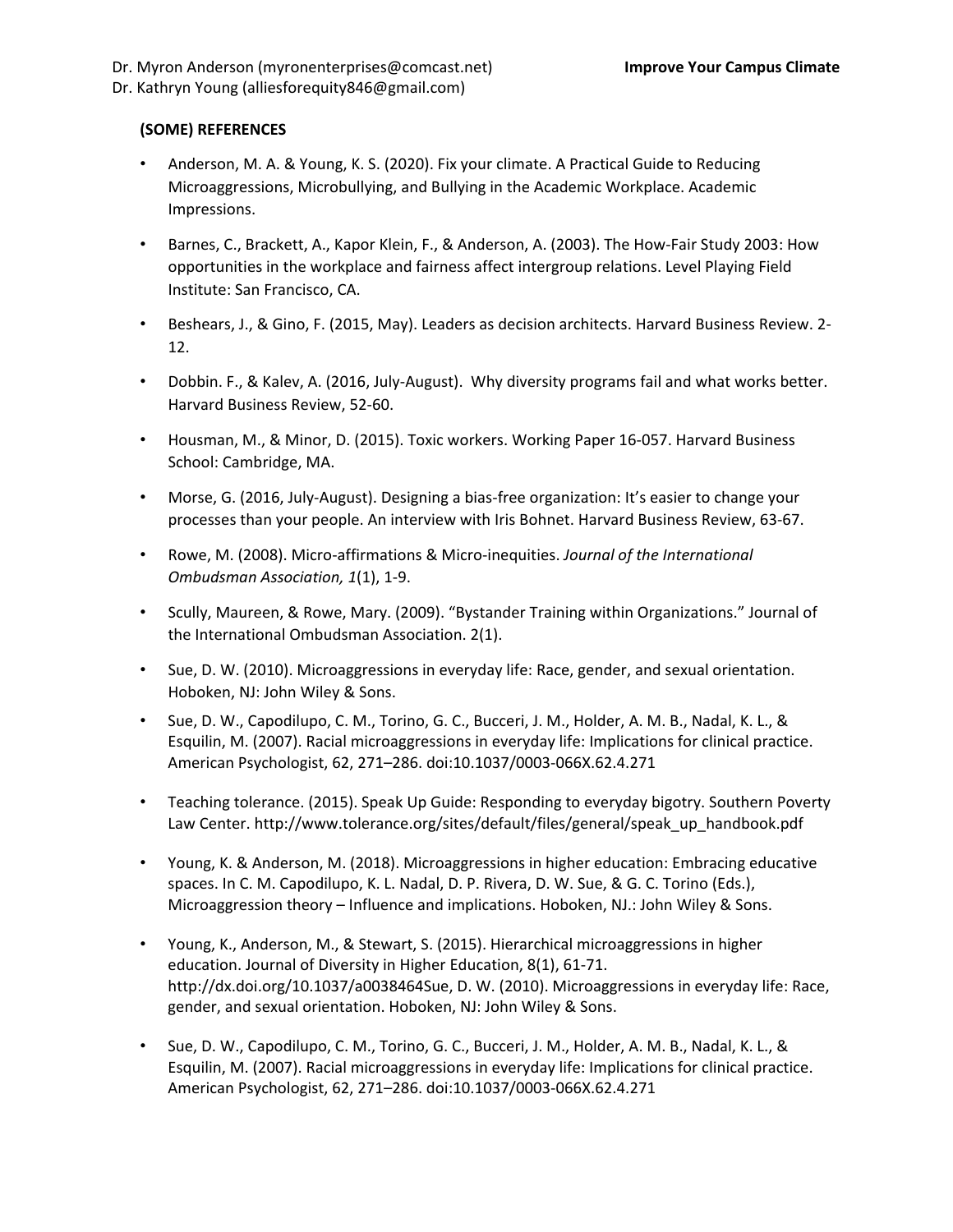## **(SOME) REFERENCES**

- Anderson, M. A. & Young, K. S. (2020). Fix your climate. A Practical Guide to Reducing Microaggressions, Microbullying, and Bullying in the Academic Workplace. Academic Impressions.
- Barnes, C., Brackett, A., Kapor Klein, F., & Anderson, A. (2003). The How-Fair Study 2003: How opportunities in the workplace and fairness affect intergroup relations. Level Playing Field Institute: San Francisco, CA.
- Beshears, J., & Gino, F. (2015, May). Leaders as decision architects. Harvard Business Review. 2- 12.
- Dobbin. F., & Kalev, A. (2016, July-August). Why diversity programs fail and what works better. Harvard Business Review, 52-60.
- Housman, M., & Minor, D. (2015). Toxic workers. Working Paper 16-057. Harvard Business School: Cambridge, MA.
- Morse, G. (2016, July-August). Designing a bias-free organization: It's easier to change your processes than your people. An interview with Iris Bohnet. Harvard Business Review, 63-67.
- Rowe, M. (2008). Micro-affirmations & Micro-inequities. *Journal of the International Ombudsman Association, 1*(1), 1-9.
- Scully, Maureen, & Rowe, Mary. (2009). "Bystander Training within Organizations." Journal of the International Ombudsman Association. 2(1).
- Sue, D. W. (2010). Microaggressions in everyday life: Race, gender, and sexual orientation. Hoboken, NJ: John Wiley & Sons.
- Sue, D. W., Capodilupo, C. M., Torino, G. C., Bucceri, J. M., Holder, A. M. B., Nadal, K. L., & Esquilin, M. (2007). Racial microaggressions in everyday life: Implications for clinical practice. American Psychologist, 62, 271–286. doi:10.1037/0003-066X.62.4.271
- Teaching tolerance. (2015). Speak Up Guide: Responding to everyday bigotry. Southern Poverty Law Center. http://www.tolerance.org/sites/default/files/general/speak\_up\_handbook.pdf
- Young, K. & Anderson, M. (2018). Microaggressions in higher education: Embracing educative spaces. In C. M. Capodilupo, K. L. Nadal, D. P. Rivera, D. W. Sue, & G. C. Torino (Eds.), Microaggression theory – Influence and implications. Hoboken, NJ.: John Wiley & Sons.
- Young, K., Anderson, M., & Stewart, S. (2015). Hierarchical microaggressions in higher education. Journal of Diversity in Higher Education, 8(1), 61-71. http://dx.doi.org/10.1037/a0038464Sue, D. W. (2010). Microaggressions in everyday life: Race, gender, and sexual orientation. Hoboken, NJ: John Wiley & Sons.
- Sue, D. W., Capodilupo, C. M., Torino, G. C., Bucceri, J. M., Holder, A. M. B., Nadal, K. L., & Esquilin, M. (2007). Racial microaggressions in everyday life: Implications for clinical practice. American Psychologist, 62, 271–286. doi:10.1037/0003-066X.62.4.271